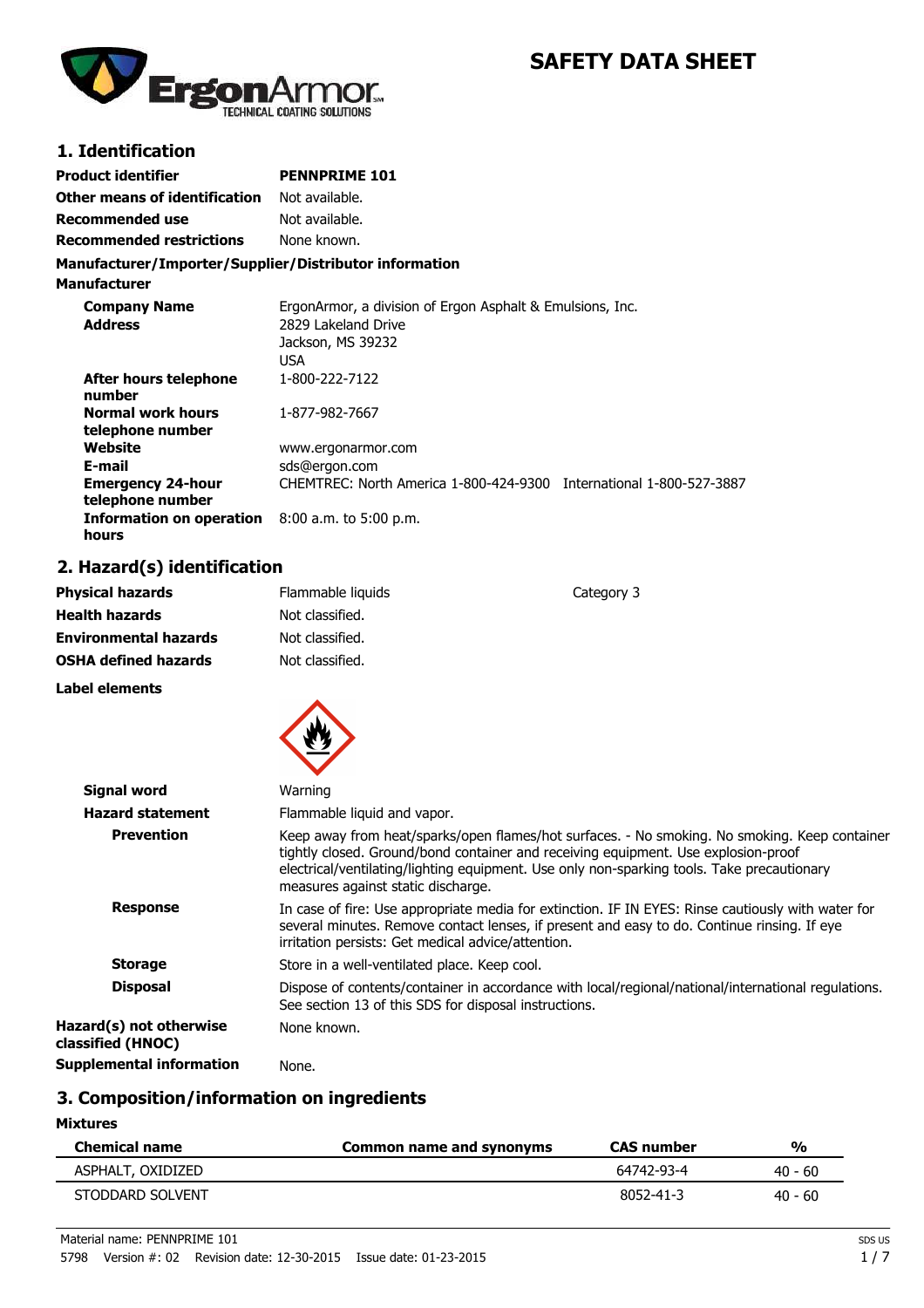

# **SAFETY DATA SHEET**

### **1. Identification**

| <b>Product identifier</b>                              | <b>PENNPRIME 101</b> |  |
|--------------------------------------------------------|----------------------|--|
| <b>Other means of identification</b>                   | Not available.       |  |
| <b>Recommended use</b>                                 | Not available.       |  |
| <b>Recommended restrictions</b>                        | None known.          |  |
| Manufacturer/Importer/Supplier/Distributor information |                      |  |

**Manufacturer**

| <b>Company Name</b>                          | ErgonArmor, a division of Ergon Asphalt & Emulsions, Inc.           |  |
|----------------------------------------------|---------------------------------------------------------------------|--|
| <b>Address</b>                               | 2829 Lakeland Drive                                                 |  |
|                                              | Jackson, MS 39232                                                   |  |
|                                              | <b>USA</b>                                                          |  |
| After hours telephone<br>number              | 1-800-222-7122                                                      |  |
| <b>Normal work hours</b><br>telephone number | 1-877-982-7667                                                      |  |
| Website                                      | www.ergonarmor.com                                                  |  |
| E-mail                                       | sds@ergon.com                                                       |  |
| <b>Emergency 24-hour</b><br>telephone number | CHEMTREC: North America 1-800-424-9300 International 1-800-527-3887 |  |
| Information on operation<br>hours            | $8:00$ a.m. to 5:00 p.m.                                            |  |

## **2. Hazard(s) identification**

| <b>Physical hazards</b>                      | Flammable liquids                                     | Category 3                                                                                                                                                                                                                                                                        |
|----------------------------------------------|-------------------------------------------------------|-----------------------------------------------------------------------------------------------------------------------------------------------------------------------------------------------------------------------------------------------------------------------------------|
| <b>Health hazards</b>                        | Not classified.                                       |                                                                                                                                                                                                                                                                                   |
| <b>Environmental hazards</b>                 | Not classified.                                       |                                                                                                                                                                                                                                                                                   |
| <b>OSHA defined hazards</b>                  | Not classified.                                       |                                                                                                                                                                                                                                                                                   |
| Label elements                               |                                                       |                                                                                                                                                                                                                                                                                   |
| <b>Signal word</b>                           | Warning                                               |                                                                                                                                                                                                                                                                                   |
| <b>Hazard statement</b>                      | Flammable liquid and vapor.                           |                                                                                                                                                                                                                                                                                   |
| <b>Prevention</b>                            | measures against static discharge.                    | Keep away from heat/sparks/open flames/hot surfaces. - No smoking. No smoking. Keep container<br>tightly closed. Ground/bond container and receiving equipment. Use explosion-proof<br>electrical/ventilating/lighting equipment. Use only non-sparking tools. Take precautionary |
| <b>Response</b>                              | irritation persists: Get medical advice/attention.    | In case of fire: Use appropriate media for extinction. IF IN EYES: Rinse cautiously with water for<br>several minutes. Remove contact lenses, if present and easy to do. Continue rinsing. If eye                                                                                 |
| <b>Storage</b>                               | Store in a well-ventilated place. Keep cool.          |                                                                                                                                                                                                                                                                                   |
| <b>Disposal</b>                              | See section 13 of this SDS for disposal instructions. | Dispose of contents/container in accordance with local/regional/national/international regulations.                                                                                                                                                                               |
| Hazard(s) not otherwise<br>classified (HNOC) | None known.                                           |                                                                                                                                                                                                                                                                                   |
| <b>Supplemental information</b>              | None.                                                 |                                                                                                                                                                                                                                                                                   |
|                                              |                                                       |                                                                                                                                                                                                                                                                                   |

### **3. Composition/information on ingredients**

**Mixtures**

| <b>Chemical name</b> | Common name and synonyms | <b>CAS</b> number | $\frac{1}{2}$ |
|----------------------|--------------------------|-------------------|---------------|
| ASPHALT, OXIDIZED    |                          | 64742-93-4        | $40 - 60$     |
| STODDARD SOLVENT     |                          | 8052-41-3         | $40 - 60$     |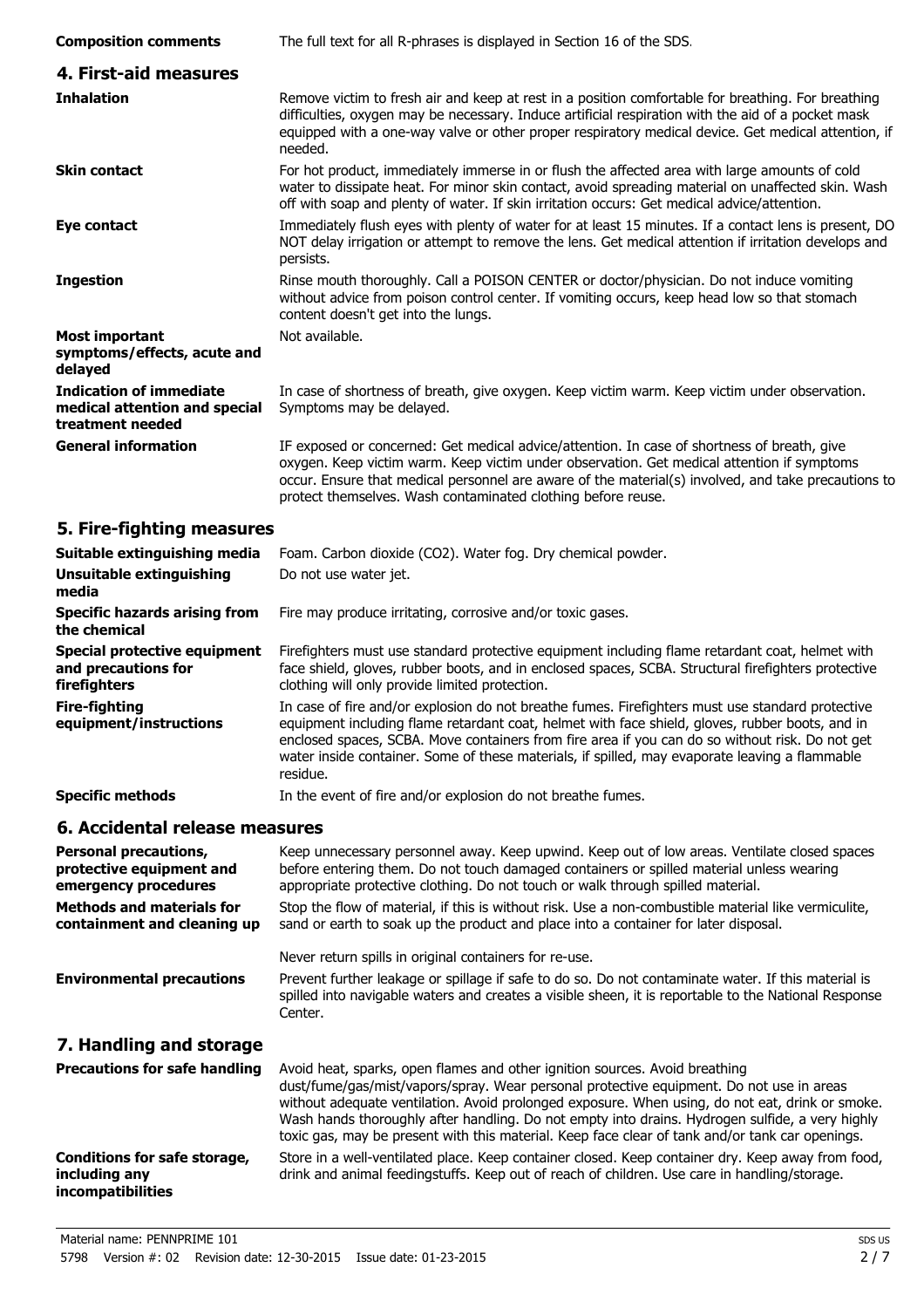| <b>Composition comments</b>                                                         | The full text for all R-phrases is displayed in Section 16 of the SDS.                                                                                                                                                                                                                                                                                                                                                                                                           |
|-------------------------------------------------------------------------------------|----------------------------------------------------------------------------------------------------------------------------------------------------------------------------------------------------------------------------------------------------------------------------------------------------------------------------------------------------------------------------------------------------------------------------------------------------------------------------------|
| 4. First-aid measures                                                               |                                                                                                                                                                                                                                                                                                                                                                                                                                                                                  |
| <b>Inhalation</b>                                                                   | Remove victim to fresh air and keep at rest in a position comfortable for breathing. For breathing<br>difficulties, oxygen may be necessary. Induce artificial respiration with the aid of a pocket mask<br>equipped with a one-way valve or other proper respiratory medical device. Get medical attention, if<br>needed.                                                                                                                                                       |
| <b>Skin contact</b>                                                                 | For hot product, immediately immerse in or flush the affected area with large amounts of cold<br>water to dissipate heat. For minor skin contact, avoid spreading material on unaffected skin. Wash<br>off with soap and plenty of water. If skin irritation occurs: Get medical advice/attention.                                                                                                                                                                               |
| Eye contact                                                                         | Immediately flush eyes with plenty of water for at least 15 minutes. If a contact lens is present, DO<br>NOT delay irrigation or attempt to remove the lens. Get medical attention if irritation develops and<br>persists.                                                                                                                                                                                                                                                       |
| <b>Ingestion</b>                                                                    | Rinse mouth thoroughly. Call a POISON CENTER or doctor/physician. Do not induce vomiting<br>without advice from poison control center. If vomiting occurs, keep head low so that stomach<br>content doesn't get into the lungs.                                                                                                                                                                                                                                                  |
| <b>Most important</b>                                                               | Not available.                                                                                                                                                                                                                                                                                                                                                                                                                                                                   |
| symptoms/effects, acute and<br>delayed                                              |                                                                                                                                                                                                                                                                                                                                                                                                                                                                                  |
| <b>Indication of immediate</b><br>medical attention and special<br>treatment needed | In case of shortness of breath, give oxygen. Keep victim warm. Keep victim under observation.<br>Symptoms may be delayed.                                                                                                                                                                                                                                                                                                                                                        |
| <b>General information</b>                                                          | IF exposed or concerned: Get medical advice/attention. In case of shortness of breath, give<br>oxygen. Keep victim warm. Keep victim under observation. Get medical attention if symptoms<br>occur. Ensure that medical personnel are aware of the material(s) involved, and take precautions to<br>protect themselves. Wash contaminated clothing before reuse.                                                                                                                 |
| 5. Fire-fighting measures                                                           |                                                                                                                                                                                                                                                                                                                                                                                                                                                                                  |
| Suitable extinguishing media                                                        | Foam. Carbon dioxide (CO2). Water fog. Dry chemical powder.                                                                                                                                                                                                                                                                                                                                                                                                                      |
| Unsuitable extinguishing<br>media                                                   | Do not use water jet.                                                                                                                                                                                                                                                                                                                                                                                                                                                            |
| <b>Specific hazards arising from</b><br>the chemical                                | Fire may produce irritating, corrosive and/or toxic gases.                                                                                                                                                                                                                                                                                                                                                                                                                       |
| Special protective equipment<br>and precautions for<br>firefighters                 | Firefighters must use standard protective equipment including flame retardant coat, helmet with<br>face shield, gloves, rubber boots, and in enclosed spaces, SCBA. Structural firefighters protective<br>clothing will only provide limited protection.                                                                                                                                                                                                                         |
| <b>Fire-fighting</b><br>equipment/instructions                                      | In case of fire and/or explosion do not breathe fumes. Firefighters must use standard protective<br>equipment including flame retardant coat, helmet with face shield, gloves, rubber boots, and in<br>enclosed spaces, SCBA. Move containers from fire area if you can do so without risk. Do not get<br>water inside container. Some of these materials, if spilled, may evaporate leaving a flammable<br>residue.                                                             |
| <b>Specific methods</b>                                                             | In the event of fire and/or explosion do not breathe fumes.                                                                                                                                                                                                                                                                                                                                                                                                                      |
| 6. Accidental release measures                                                      |                                                                                                                                                                                                                                                                                                                                                                                                                                                                                  |
| <b>Personal precautions,</b><br>protective equipment and<br>emergency procedures    | Keep unnecessary personnel away. Keep upwind. Keep out of low areas. Ventilate closed spaces<br>before entering them. Do not touch damaged containers or spilled material unless wearing<br>appropriate protective clothing. Do not touch or walk through spilled material.                                                                                                                                                                                                      |
| <b>Methods and materials for</b><br>containment and cleaning up                     | Stop the flow of material, if this is without risk. Use a non-combustible material like vermiculite,<br>sand or earth to soak up the product and place into a container for later disposal.                                                                                                                                                                                                                                                                                      |
|                                                                                     | Never return spills in original containers for re-use.                                                                                                                                                                                                                                                                                                                                                                                                                           |
| <b>Environmental precautions</b>                                                    | Prevent further leakage or spillage if safe to do so. Do not contaminate water. If this material is<br>spilled into navigable waters and creates a visible sheen, it is reportable to the National Response<br>Center.                                                                                                                                                                                                                                                           |
| 7. Handling and storage                                                             |                                                                                                                                                                                                                                                                                                                                                                                                                                                                                  |
| <b>Precautions for safe handling</b>                                                | Avoid heat, sparks, open flames and other ignition sources. Avoid breathing<br>dust/fume/gas/mist/vapors/spray. Wear personal protective equipment. Do not use in areas<br>without adequate ventilation. Avoid prolonged exposure. When using, do not eat, drink or smoke.<br>Wash hands thoroughly after handling. Do not empty into drains. Hydrogen sulfide, a very highly<br>toxic gas, may be present with this material. Keep face clear of tank and/or tank car openings. |
| <b>Conditions for safe storage,</b><br>including any                                | Store in a well-ventilated place. Keep container closed. Keep container dry. Keep away from food,<br>drink and animal feedingstuffs. Keep out of reach of children. Use care in handling/storage.                                                                                                                                                                                                                                                                                |

**incompatibilities**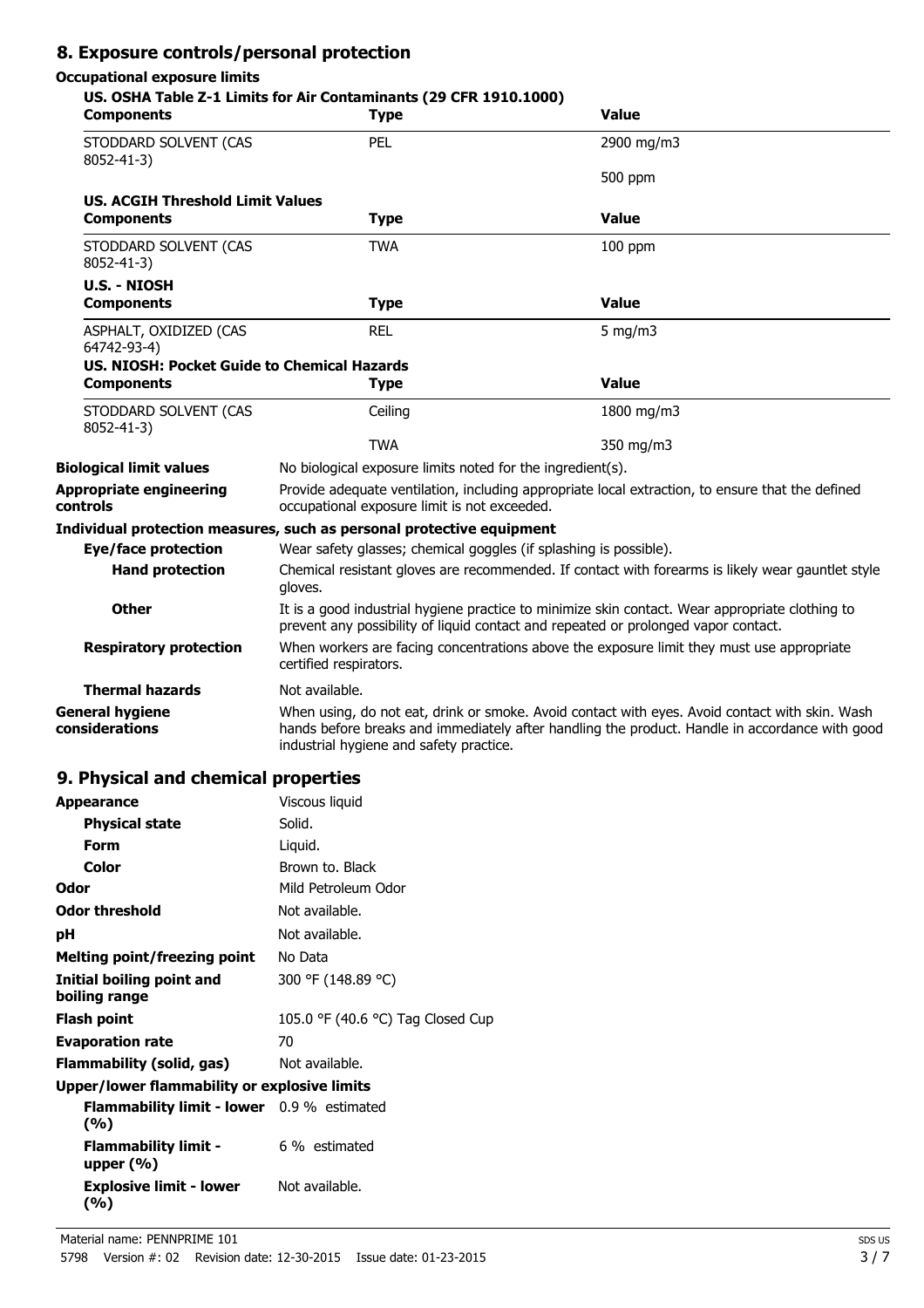# **8. Exposure controls/personal protection**

#### **Occupational exposure limits**

#### **US. OSHA Table Z-1 Limits for Air Contaminants (29 CFR 1910.1000)**

| <b>Components</b>                           | <b>Type</b>                                                                                                                                                                                                                                 | <b>Value</b> |  |
|---------------------------------------------|---------------------------------------------------------------------------------------------------------------------------------------------------------------------------------------------------------------------------------------------|--------------|--|
| STODDARD SOLVENT (CAS<br>8052-41-3)         | PEL                                                                                                                                                                                                                                         | 2900 mg/m3   |  |
|                                             |                                                                                                                                                                                                                                             | 500 ppm      |  |
| <b>US. ACGIH Threshold Limit Values</b>     |                                                                                                                                                                                                                                             |              |  |
| <b>Components</b>                           | <b>Type</b>                                                                                                                                                                                                                                 | <b>Value</b> |  |
| STODDARD SOLVENT (CAS<br>8052-41-3)         | <b>TWA</b>                                                                                                                                                                                                                                  | $100$ ppm    |  |
| <b>U.S. - NIOSH</b>                         |                                                                                                                                                                                                                                             |              |  |
| <b>Components</b>                           | <b>Type</b>                                                                                                                                                                                                                                 | <b>Value</b> |  |
| ASPHALT, OXIDIZED (CAS<br>64742-93-4)       | <b>REL</b>                                                                                                                                                                                                                                  | 5 mg/m $3$   |  |
| US. NIOSH: Pocket Guide to Chemical Hazards |                                                                                                                                                                                                                                             |              |  |
| <b>Components</b>                           | <b>Type</b>                                                                                                                                                                                                                                 | <b>Value</b> |  |
| STODDARD SOLVENT (CAS<br>8052-41-3)         | Ceiling                                                                                                                                                                                                                                     | 1800 mg/m3   |  |
|                                             | <b>TWA</b>                                                                                                                                                                                                                                  | 350 mg/m3    |  |
| <b>Biological limit values</b>              | No biological exposure limits noted for the ingredient(s).                                                                                                                                                                                  |              |  |
| <b>Appropriate engineering</b><br>controls  | Provide adequate ventilation, including appropriate local extraction, to ensure that the defined<br>occupational exposure limit is not exceeded.                                                                                            |              |  |
|                                             | Individual protection measures, such as personal protective equipment                                                                                                                                                                       |              |  |
| Eye/face protection                         | Wear safety glasses; chemical goggles (if splashing is possible).                                                                                                                                                                           |              |  |
| <b>Hand protection</b>                      | Chemical resistant gloves are recommended. If contact with forearms is likely wear gauntlet style<br>gloves.                                                                                                                                |              |  |
| <b>Other</b>                                | It is a good industrial hygiene practice to minimize skin contact. Wear appropriate clothing to<br>prevent any possibility of liquid contact and repeated or prolonged vapor contact.                                                       |              |  |
| <b>Respiratory protection</b>               | When workers are facing concentrations above the exposure limit they must use appropriate<br>certified respirators.                                                                                                                         |              |  |
| <b>Thermal hazards</b>                      | Not available.                                                                                                                                                                                                                              |              |  |
| <b>General hygiene</b><br>considerations    | When using, do not eat, drink or smoke. Avoid contact with eyes. Avoid contact with skin. Wash<br>hands before breaks and immediately after handling the product. Handle in accordance with good<br>industrial hygiene and safety practice. |              |  |

### **9. Physical and chemical properties**

| <b>Appearance</b>                                 | Viscous liquid                    |  |
|---------------------------------------------------|-----------------------------------|--|
| <b>Physical state</b>                             | Solid.                            |  |
| Form                                              | Liquid.                           |  |
| Color                                             | Brown to. Black                   |  |
| Odor                                              | Mild Petroleum Odor               |  |
| <b>Odor threshold</b>                             | Not available.                    |  |
| рH                                                | Not available.                    |  |
| <b>Melting point/freezing point</b>               | No Data                           |  |
| Initial boiling point and<br>boiling range        | 300 °F (148.89 °C)                |  |
| Flash point                                       | 105.0 °F (40.6 °C) Tag Closed Cup |  |
| <b>Evaporation rate</b>                           | 70                                |  |
| Flammability (solid, gas)                         | Not available.                    |  |
| Upper/lower flammability or explosive limits      |                                   |  |
| Flammability limit - lower 0.9 % estimated<br>(%) |                                   |  |
| <b>Flammability limit -</b><br>upper $(\%)$       | 6 % estimated                     |  |

Not available.

**Explosive limit - lower**

**(%)**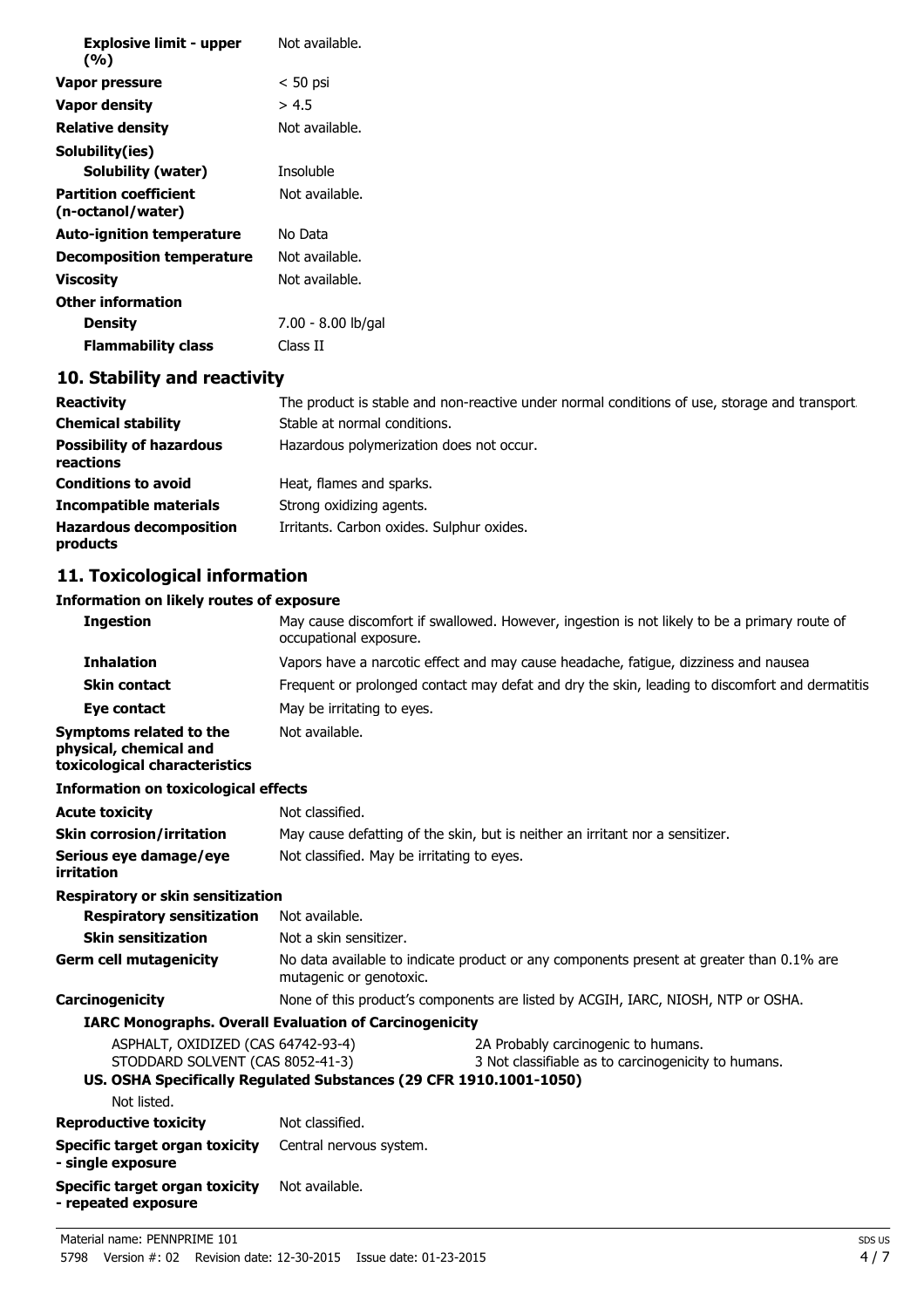| <b>Explosive limit - upper</b><br>(%)             | Not available.     |
|---------------------------------------------------|--------------------|
| Vapor pressure                                    | $< 50$ psi         |
| Vapor density                                     | > 4.5              |
| <b>Relative density</b>                           | Not available.     |
| Solubility(ies)                                   |                    |
| <b>Solubility (water)</b>                         | Insoluble          |
| <b>Partition coefficient</b><br>(n-octanol/water) | Not available.     |
| <b>Auto-ignition temperature</b>                  | No Data            |
| Decomposition temperature                         | Not available.     |
| Viscosity                                         | Not available.     |
| <b>Other information</b>                          |                    |
| <b>Density</b>                                    | 7.00 - 8.00 lb/gal |
| <b>Flammability class</b>                         | Class II           |

# **10. Stability and reactivity**

| <b>Reactivity</b>                            | The product is stable and non-reactive under normal conditions of use, storage and transport. |
|----------------------------------------------|-----------------------------------------------------------------------------------------------|
| <b>Chemical stability</b>                    | Stable at normal conditions.                                                                  |
| <b>Possibility of hazardous</b><br>reactions | Hazardous polymerization does not occur.                                                      |
| <b>Conditions to avoid</b>                   | Heat, flames and sparks.                                                                      |
| <b>Incompatible materials</b>                | Strong oxidizing agents.                                                                      |
| <b>Hazardous decomposition</b><br>products   | Irritants. Carbon oxides. Sulphur oxides.                                                     |

# **11. Toxicological information**

#### **Information on likely routes of exposure**

| <b>Ingestion</b>                                                                          | occupational exposure.                                                                                              | May cause discomfort if swallowed. However, ingestion is not likely to be a primary route of    |
|-------------------------------------------------------------------------------------------|---------------------------------------------------------------------------------------------------------------------|-------------------------------------------------------------------------------------------------|
| <b>Inhalation</b>                                                                         |                                                                                                                     | Vapors have a narcotic effect and may cause headache, fatique, dizziness and nausea.            |
| <b>Skin contact</b>                                                                       |                                                                                                                     | Frequent or prolonged contact may defat and dry the skin, leading to discomfort and dermatitis. |
| Eye contact                                                                               | May be irritating to eyes.                                                                                          |                                                                                                 |
| <b>Symptoms related to the</b><br>physical, chemical and<br>toxicological characteristics | Not available.                                                                                                      |                                                                                                 |
| <b>Information on toxicological effects</b>                                               |                                                                                                                     |                                                                                                 |
| <b>Acute toxicity</b>                                                                     | Not classified.                                                                                                     |                                                                                                 |
| <b>Skin corrosion/irritation</b>                                                          |                                                                                                                     | May cause defatting of the skin, but is neither an irritant nor a sensitizer.                   |
| Serious eye damage/eye<br>irritation                                                      | Not classified. May be irritating to eyes.                                                                          |                                                                                                 |
| <b>Respiratory or skin sensitization</b>                                                  |                                                                                                                     |                                                                                                 |
| <b>Respiratory sensitization</b>                                                          | Not available.                                                                                                      |                                                                                                 |
| <b>Skin sensitization</b>                                                                 | Not a skin sensitizer.                                                                                              |                                                                                                 |
| <b>Germ cell mutagenicity</b>                                                             | No data available to indicate product or any components present at greater than 0.1% are<br>mutagenic or genotoxic. |                                                                                                 |
| Carcinogenicity                                                                           |                                                                                                                     | None of this product's components are listed by ACGIH, IARC, NIOSH, NTP or OSHA.                |
|                                                                                           | <b>IARC Monographs. Overall Evaluation of Carcinogenicity</b>                                                       |                                                                                                 |
| ASPHALT, OXIDIZED (CAS 64742-93-4)<br>STODDARD SOLVENT (CAS 8052-41-3)                    | US. OSHA Specifically Regulated Substances (29 CFR 1910.1001-1050)                                                  | 2A Probably carcinogenic to humans.<br>3 Not classifiable as to carcinogenicity to humans.      |
| Not listed.                                                                               |                                                                                                                     |                                                                                                 |
| <b>Reproductive toxicity</b>                                                              | Not classified.                                                                                                     |                                                                                                 |
| <b>Specific target organ toxicity</b><br>- single exposure                                | Central nervous system.                                                                                             |                                                                                                 |
| Specific target organ toxicity<br>- repeated exposure                                     | Not available.                                                                                                      |                                                                                                 |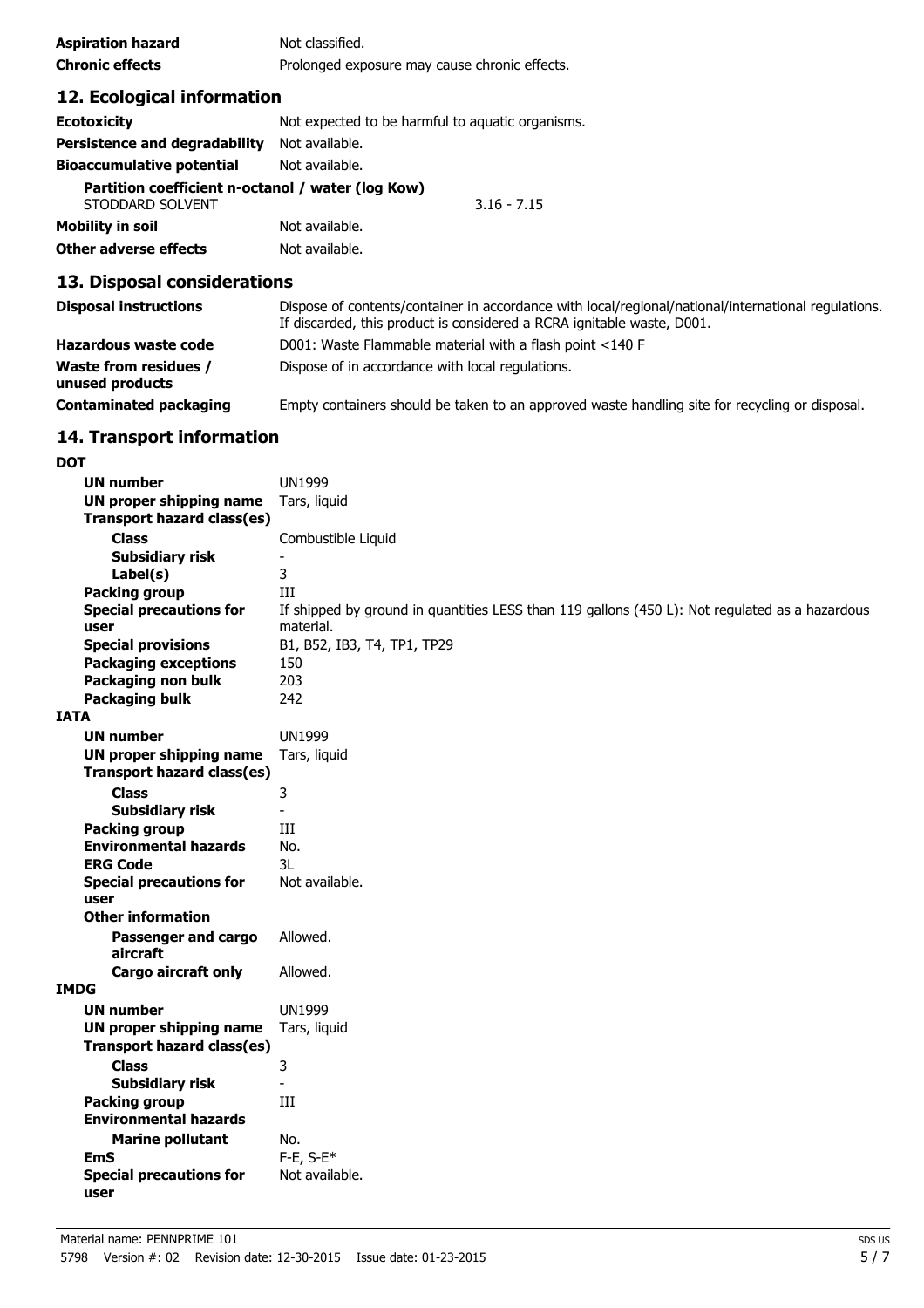| <b>Aspiration hazard</b> | Not classified.                               |
|--------------------------|-----------------------------------------------|
| <b>Chronic effects</b>   | Prolonged exposure may cause chronic effects. |

# **12. Ecological information**

| <b>Ecotoxicity</b>                                                    | Not expected to be harmful to aquatic organisms. |  |
|-----------------------------------------------------------------------|--------------------------------------------------|--|
| Persistence and degradability                                         | Not available.                                   |  |
| <b>Bioaccumulative potential</b>                                      | Not available.                                   |  |
| Partition coefficient n-octanol / water (log Kow)<br>STODDARD SOLVENT | $3.16 - 7.15$                                    |  |
| <b>Mobility in soil</b>                                               | Not available.                                   |  |
| <b>Other adverse effects</b>                                          | Not available.                                   |  |

## **13. Disposal considerations**

| <b>Disposal instructions</b>                    | Dispose of contents/container in accordance with local/regional/national/international regulations.<br>If discarded, this product is considered a RCRA ignitable waste, D001. |
|-------------------------------------------------|-------------------------------------------------------------------------------------------------------------------------------------------------------------------------------|
| Hazardous waste code                            | D001: Waste Flammable material with a flash point <140 F                                                                                                                      |
| <b>Waste from residues /</b><br>unused products | Dispose of in accordance with local regulations.                                                                                                                              |
| <b>Contaminated packaging</b>                   | Empty containers should be taken to an approved waste handling site for recycling or disposal.                                                                                |

# **14. Transport information**

| <b>DOT</b>  |                                        |                                                                                                |
|-------------|----------------------------------------|------------------------------------------------------------------------------------------------|
|             | <b>UN number</b>                       | <b>UN1999</b>                                                                                  |
|             | <b>UN proper shipping name</b>         | Tars, liquid                                                                                   |
|             | <b>Transport hazard class(es)</b>      |                                                                                                |
|             | <b>Class</b>                           | Combustible Liquid                                                                             |
|             | <b>Subsidiary risk</b>                 |                                                                                                |
|             | Label(s)                               | 3                                                                                              |
|             | <b>Packing group</b>                   | Ш                                                                                              |
|             | <b>Special precautions for</b>         | If shipped by ground in quantities LESS than 119 gallons (450 L): Not regulated as a hazardous |
|             | user                                   | material.                                                                                      |
|             | <b>Special provisions</b>              | B1, B52, IB3, T4, TP1, TP29                                                                    |
|             | <b>Packaging exceptions</b>            | 150                                                                                            |
|             | Packaging non bulk                     | 203                                                                                            |
|             | <b>Packaging bulk</b>                  | 242                                                                                            |
| <b>IATA</b> |                                        |                                                                                                |
|             | <b>UN number</b>                       | <b>UN1999</b>                                                                                  |
|             | <b>UN proper shipping name</b>         | Tars, liquid                                                                                   |
|             | <b>Transport hazard class(es)</b>      |                                                                                                |
|             | <b>Class</b>                           | 3                                                                                              |
|             | <b>Subsidiary risk</b>                 |                                                                                                |
|             | <b>Packing group</b>                   | Ш                                                                                              |
|             | <b>Environmental hazards</b>           | No.                                                                                            |
|             | <b>ERG Code</b>                        | 3L                                                                                             |
|             | <b>Special precautions for</b>         | Not available.                                                                                 |
|             | user                                   |                                                                                                |
|             | <b>Other information</b>               |                                                                                                |
|             | Passenger and cargo                    | Allowed.                                                                                       |
|             | aircraft                               |                                                                                                |
|             | <b>Cargo aircraft only</b>             | Allowed.                                                                                       |
| <b>IMDG</b> |                                        |                                                                                                |
|             | <b>UN number</b>                       | <b>UN1999</b>                                                                                  |
|             | <b>UN proper shipping name</b>         | Tars, liquid                                                                                   |
|             | <b>Transport hazard class(es)</b>      |                                                                                                |
|             | <b>Class</b>                           | 3                                                                                              |
|             | <b>Subsidiary risk</b>                 | $\overline{\phantom{a}}$                                                                       |
|             | Packing group                          | $\rm III$                                                                                      |
|             | <b>Environmental hazards</b>           |                                                                                                |
|             | <b>Marine pollutant</b>                | No.                                                                                            |
|             | <b>EmS</b>                             | $F-E$ , S- $E^*$                                                                               |
|             | <b>Special precautions for</b><br>user | Not available.                                                                                 |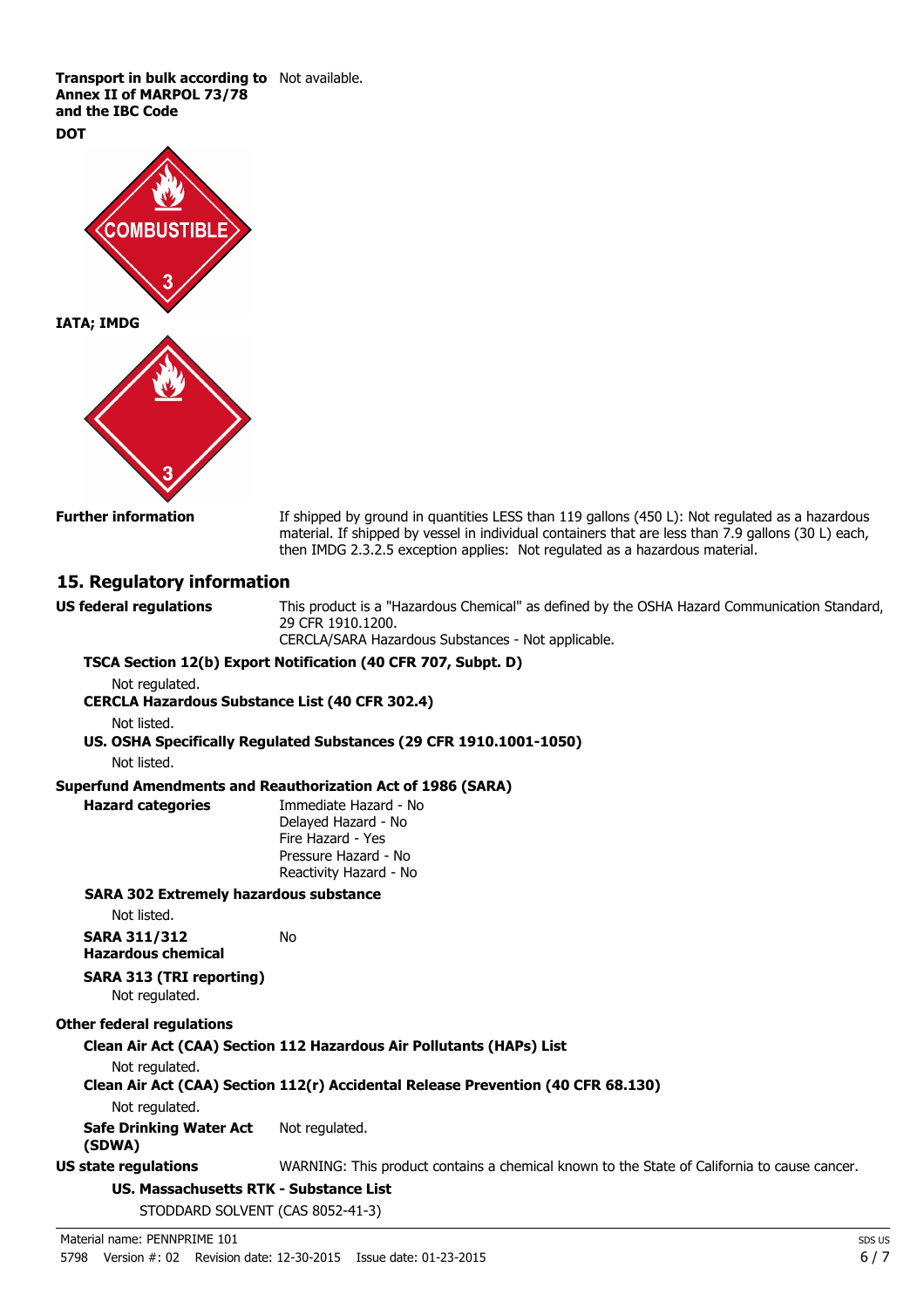**Transport in bulk according to** Not available. **Annex II of MARPOL 73/78 and the IBC Code**

**DOT**



**Further information** If shipped by ground in quantities LESS than 119 gallons (450 L): Not regulated as a hazardous material. If shipped by vessel in individual containers that are less than 7.9 gallons (30 L) each, then IMDG 2.3.2.5 exception applies: Not regulated as a hazardous material.

#### **15. Regulatory information**

**US federal regulations** This product is a "Hazardous Chemical" as defined by the OSHA Hazard Communication Standard, 29 CFR 1910.1200.

CERCLA/SARA Hazardous Substances - Not applicable.

#### **TSCA Section 12(b) Export Notification (40 CFR 707, Subpt. D)** Not regulated.

**CERCLA Hazardous Substance List (40 CFR 302.4)**

Not listed.

**US. OSHA Specifically Regulated Substances (29 CFR 1910.1001-1050)**

Not listed.

#### **Superfund Amendments and Reauthorization Act of 1986 (SARA)**

**Hazard categories** Immediate Hazard - No Delayed Hazard - No Fire Hazard - Yes Pressure Hazard - No Reactivity Hazard - No

#### **SARA 302 Extremely hazardous substance**

Not listed.

| SARA 311/312       | No |
|--------------------|----|
| Hazardous chemical |    |

# **SARA 313 (TRI reporting)**

Not regulated.

#### **Other federal regulations**

**Clean Air Act (CAA) Section 112 Hazardous Air Pollutants (HAPs) List**

Not regulated.

#### **Clean Air Act (CAA) Section 112(r) Accidental Release Prevention (40 CFR 68.130)**

Not regulated.

**Safe Drinking Water Act** Not regulated.

**(SDWA)**

**US state regulations** WARNING: This product contains a chemical known to the State of California to cause cancer.

#### **US. Massachusetts RTK - Substance List**

STODDARD SOLVENT (CAS 8052-41-3)